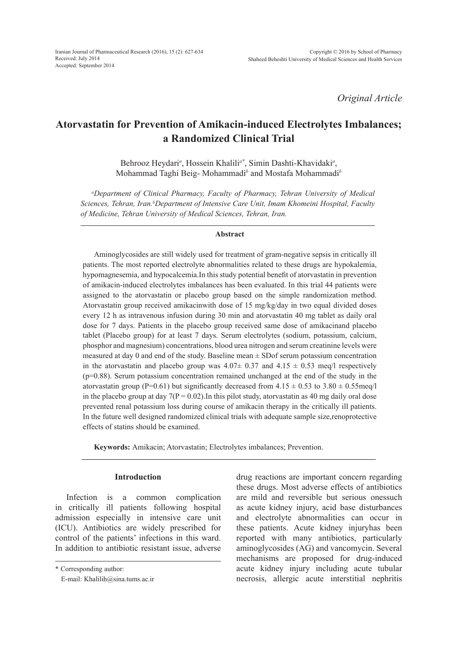*Original Article*

# **Atorvastatin for Prevention of Amikacin-induced Electrolytes Imbalances; a Randomized Clinical Trial**

Behrooz Heydari*<sup>a</sup>* , Hossein Khalili*a\**, Simin Dashti-Khavidaki*<sup>a</sup>* , Mohammad Taghi Beig- Mohammadi*<sup>b</sup>* and Mostafa Mohammadi*<sup>b</sup>*

*a Department of Clinical Pharmacy, Faculty of Pharmacy, Tehran University of Medical Sciences, Tehran, Iran.b Department of Intensive Care Unit, Imam Khomeini Hospital, Faculty of Medicine, Tehran University of Medical Sciences, Tehran, Iran.*

#### **Abstract**

Aminoglycosides are still widely used for treatment of gram-negative sepsis in critically ill patients. The most reported electrolyte abnormalities related to these drugs are hypokalemia, hypomagnesemia, and hypocalcemia.In this study potential benefit of atorvastatin in prevention of amikacin-induced electrolytes imbalances has been evaluated. In this trial 44 patients were assigned to the atorvastatin or placebo group based on the simple randomization method. Atorvastatin group received amikacinwith dose of 15 mg/kg/day in two equal divided doses every 12 h as intravenous infusion during 30 min and atorvastatin 40 mg tablet as daily oral dose for 7 days. Patients in the placebo group received same dose of amikacinand placebo tablet (Placebo group) for at least 7 days. Serum electrolytes (sodium, potassium, calcium, phosphor and magnesium) concentrations, blood urea nitrogen and serum creatinine levels were measured at day 0 and end of the study. Baseline mean ± SDof serum potassium concentration in the atorvastatin and placebo group was  $4.07\pm 0.37$  and  $4.15 \pm 0.53$  meq/l respectively (p=0.88). Serum potassium concentration remained unchanged at the end of the study in the atorvastatin group (P=0.61) but significantly decreased from  $4.15 \pm 0.53$  to  $3.80 \pm 0.55$  meq/l in the placebo group at day  $7(P = 0.02)$ . In this pilot study, atorvastatin as 40 mg daily oral dose prevented renal potassium loss during course of amikacin therapy in the critically ill patients. In the future well designed randomized clinical trials with adequate sample size,renoprotective effects of statins should be examined.

**Keywords:** Amikacin; Atorvastatin; Electrolytes imbalances; Prevention.

#### **Introduction**

Infection is a common complication in critically ill patients following hospital admission especially in intensive care unit (ICU). Antibiotics are widely prescribed for control of the patients' infections in this ward. In addition to antibiotic resistant issue, adverse

\* Corresponding author:

drug reactions are important concern regarding these drugs. Most adverse effects of antibiotics are mild and reversible but serious onessuch as acute kidney injury, acid base disturbances and electrolyte abnormalities can occur in these patients. Acute kidney injuryhas been reported with many antibiotics, particularly aminoglycosides (AG) and vancomycin. Several mechanisms are proposed for drug-induced acute kidney injury including acute tubular necrosis, allergic acute interstitial nephritis

E-mail: Khalilih@sina.tums.ac.ir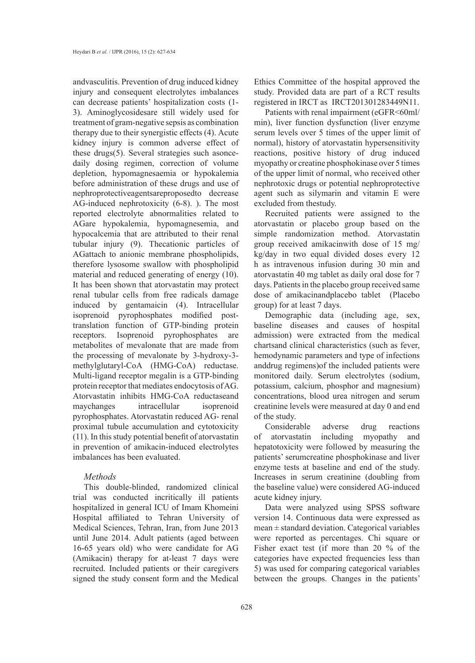andvasculitis. Prevention of drug induced kidney injury and consequent electrolytes imbalances can decrease patients' hospitalization costs (1- 3). Aminoglycosidesare still widely used for treatment of gram-negative sepsis as combination therapy due to their synergistic effects (4). Acute kidney injury is common adverse effect of these drugs $(5)$ . Several strategies such asoncedaily dosing regimen, correction of volume depletion, hypomagnesaemia or hypokalemia before administration of these drugs and use of nephroprotectiveagentsareproposedto decrease AG-induced nephrotoxicity (6-8). ). The most reported electrolyte abnormalities related to AGare hypokalemia, hypomagnesemia, and hypocalcemia that are attributed to their renal tubular injury (9). Thecationic particles of AGattach to anionic membrane phospholipids, therefore lysosome swallow with phospholipid material and reduced generating of energy (10). It has been shown that atorvastatin may protect renal tubular cells from free radicals damage induced by gentamaicin (4). Intracellular isoprenoid pyrophosphates modified posttranslation function of GTP-binding protein receptors. Isoprenoid pyrophosphates are metabolites of mevalonate that are made from the processing of mevalonate by 3-hydroxy-3 methylglutaryl-CoA (HMG-CoA) reductase. Multi-ligand receptor megalin is a GTP-binding protein receptor that mediates endocytosis of AG. Atorvastatin inhibits HMG-CoA reductaseand maychanges intracellular isoprenoid pyrophosphates. Atorvastatin reduced AG- renal proximal tubule accumulation and cytotoxicity (11). In this study potential benefit of atorvastatin in prevention of amikacin-induced electrolytes imbalances has been evaluated.

### *Methods*

This double-blinded, randomized clinical trial was conducted incritically ill patients hospitalized in general ICU of Imam Khomeini Hospital affiliated to Tehran University of Medical Sciences, Tehran, Iran, from June 2013 until June 2014. Adult patients (aged between 16-65 years old) who were candidate for AG (Amikacin) therapy for at-least 7 days were recruited. Included patients or their caregivers signed the study consent form and the Medical

Ethics Committee of the hospital approved the study. Provided data are part of a RCT results registered in IRCT as IRCT201301283449N11.

Patients with renal impairment (eGFR<60ml/ min), liver function dysfunction (liver enzyme serum levels over 5 times of the upper limit of normal), history of atorvastatin hypersensitivity reactions, positive history of drug induced myopathy or creatine phosphokinase over 5 times of the upper limit of normal, who received other nephrotoxic drugs or potential nephroprotective agent such as silymarin and vitamin E were excluded from thestudy.

Recruited patients were assigned to the atorvastatin or placebo group based on the simple randomization method. Atorvastatin group received amikacinwith dose of 15 mg/ kg/day in two equal divided doses every 12 h as intravenous infusion during 30 min and atorvastatin 40 mg tablet as daily oral dose for 7 days. Patients in the placebo group received same dose of amikacinandplacebo tablet (Placebo group) for at least 7 days.

Demographic data (including age, sex, baseline diseases and causes of hospital admission) were extracted from the medical chartsand clinical characteristics (such as fever, hemodynamic parameters and type of infections anddrug regimens)of the included patients were monitored daily. Serum electrolytes (sodium, potassium, calcium, phosphor and magnesium) concentrations, blood urea nitrogen and serum creatinine levels were measured at day 0 and end of the study.

Considerable adverse drug reactions of atorvastatin including myopathy and hepatotoxicity were followed by measuring the patients' serumcreatine phosphokinase and liver enzyme tests at baseline and end of the study. Increases in serum creatinine (doubling from the baseline value) were considered AG-induced acute kidney injury.

Data were analyzed using SPSS software version 14. Continuous data were expressed as  $mean \pm$  standard deviation. Categorical variables were reported as percentages. Chi square or Fisher exact test (if more than 20 % of the categories have expected frequencies less than 5) was used for comparing categorical variables between the groups. Changes in the patients'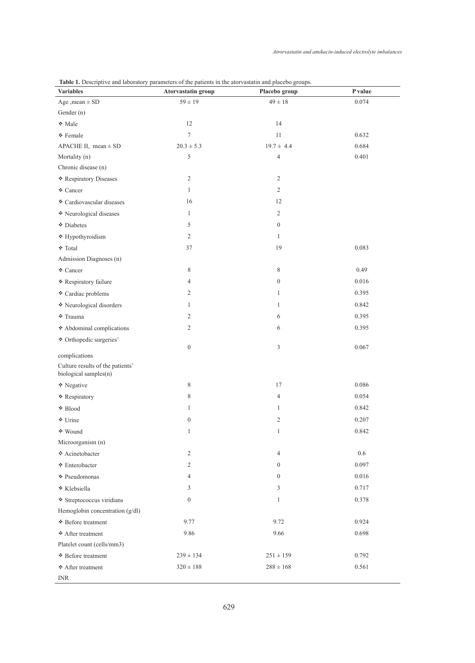| able 11 Descriptive and nothatory parameters of the patients in the ator rastatin and placette groups.<br><b>Variables</b> | Atorvastatin group | Placebo group    | P value |
|----------------------------------------------------------------------------------------------------------------------------|--------------------|------------------|---------|
| Age , mean $\pm$ SD                                                                                                        | $59 \pm 19$        | $49 \pm 18$      | 0.074   |
| Gender (n)                                                                                                                 |                    |                  |         |
| ◆ Male                                                                                                                     | 12                 | 14               |         |
| ◆ Female                                                                                                                   | $\boldsymbol{7}$   | $11\,$           | 0.632   |
| APACHE II, mean $\pm$ SD                                                                                                   | $20.3 \pm 5.3$     | $19.7 \pm 4.4$   | 0.684   |
| Mortality (n)                                                                                                              | 5                  | $\overline{4}$   | 0.401   |
| Chronic disease (n)                                                                                                        |                    |                  |         |
| Respiratory Diseases                                                                                                       | $\overline{2}$     | $\mathfrak{2}$   |         |
| ♦ Cancer                                                                                                                   | $\mathbf{1}$       | 2                |         |
| Cardiovascular diseases                                                                                                    | 16                 | 12               |         |
| Neurological diseases                                                                                                      | $\mathbf{1}$       | 2                |         |
| Diabetes                                                                                                                   | 5                  | $\boldsymbol{0}$ |         |
| $\blacklozenge$ Hypothyroidism                                                                                             | $\sqrt{2}$         | $\mathbf{1}$     |         |
| <b>↑</b> Total                                                                                                             | 37                 | 19               | 0.083   |
| Admission Diagnoses (n)                                                                                                    |                    |                  |         |
| ↓ Cancer                                                                                                                   | 8                  | 8                | 0.49    |
| Respiratory failure                                                                                                        | 4                  | $\boldsymbol{0}$ | 0.016   |
| Cardiac problems                                                                                                           | $\overline{2}$     | 1                | 0.395   |
| Neurological disorders                                                                                                     | 1                  | 1                | 0.842   |
| <b>↑</b> Trauma                                                                                                            | $\overline{c}$     | 6                | 0.395   |
| $\blacklozenge$ Abdominal complications                                                                                    | $\overline{c}$     | 6                | 0.395   |
| Crthopedic surgeries'                                                                                                      |                    |                  |         |
|                                                                                                                            | $\boldsymbol{0}$   | 3                | 0.067   |
| complications                                                                                                              |                    |                  |         |
| Culture results of the patients'<br>biological samples(n)                                                                  |                    |                  |         |
| Negative                                                                                                                   | 8                  | 17               | 0.086   |
| * Respiratory                                                                                                              | 8                  | $\overline{4}$   | 0.054   |
| <b>↓</b> Blood                                                                                                             | $\mathbf{1}$       | 1                | 0.842   |
| ♦ Urine                                                                                                                    | $\overline{0}$     | $\overline{c}$   | 0.207   |
| <b>↓</b> Wound                                                                                                             | 1                  | 1                | 0.842   |
| Microorganism (n)                                                                                                          |                    |                  |         |
| Acinetobacter                                                                                                              | $\sqrt{2}$         | $\overline{4}$   | 0.6     |
| <b>◆</b> Enterobacter                                                                                                      | $\overline{c}$     | $\mathbf{0}$     | 0.097   |
| <b>↓</b> Pseudomonas                                                                                                       | $\overline{4}$     | $\mathbf{0}$     | 0.016   |
| ◆ Klebsiella                                                                                                               | 3                  | 3                | 0.717   |
| Streptococcus viridians                                                                                                    | $\overline{0}$     | $\mathbf{1}$     | 0.378   |
| Hemoglobin concentration (g/dl)                                                                                            |                    |                  |         |
| <b>↓</b> Before treatment                                                                                                  | 9.77               | 9.72             | 0.924   |
| After treatment                                                                                                            | 9.86               | 9.66             | 0.698   |
| Platelet count (cells/mm3)                                                                                                 |                    |                  |         |
| <b>↓</b> Before treatment                                                                                                  | $239 \pm 134$      | $251 \pm 159$    | 0.792   |
| <b>↓</b> After treatment                                                                                                   | $320 \pm 188$      | $288 \pm 168$    | 0.561   |
| <b>INR</b>                                                                                                                 |                    |                  |         |

### Table 1. Descriptive and laboratory parameters of the patients in the atorvastatin and placebo groups.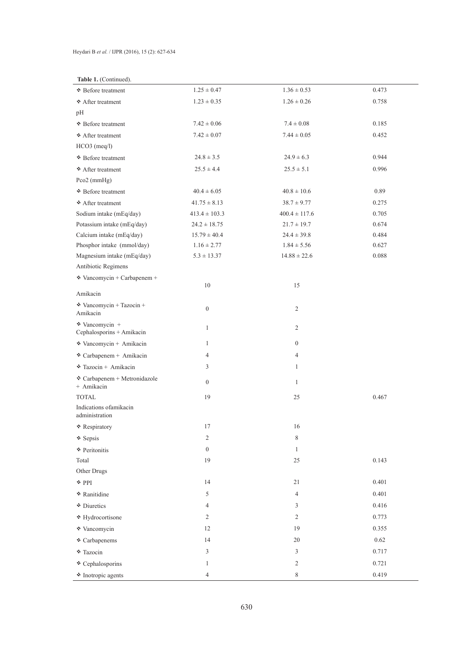# Table 1. (Continued).

| rable 1. (Commucu).                              |                   |                   |       |  |
|--------------------------------------------------|-------------------|-------------------|-------|--|
| • Before treatment                               | $1.25 \pm 0.47$   | $1.36 \pm 0.53$   | 0.473 |  |
| ♦ After treatment                                | $1.23 \pm 0.35$   | $1.26 \pm 0.26$   | 0.758 |  |
| pH                                               |                   |                   |       |  |
| <b>↓</b> Before treatment                        | $7.42 \pm 0.06$   | $7.4 \pm 0.08$    | 0.185 |  |
| After treatment                                  | $7.42 \pm 0.07$   | $7.44 \pm 0.05$   | 0.452 |  |
| HCO3 (meq/l)                                     |                   |                   |       |  |
| ♦ Before treatment                               | $24.8 \pm 3.5$    | $24.9 \pm 6.3$    | 0.944 |  |
| After treatment                                  | $25.5 \pm 4.4$    | $25.5 \pm 5.1$    | 0.996 |  |
| Pco2 $(mmHg)$                                    |                   |                   |       |  |
| <b>↓</b> Before treatment                        | $40.4 \pm 6.05$   | $40.8 \pm 10.6$   | 0.89  |  |
| After treatment                                  | $41.75 \pm 8.13$  | $38.7 \pm 9.77$   | 0.275 |  |
| Sodium intake (mEq/day)                          | $413.4 \pm 103.3$ | $400.4 \pm 117.6$ | 0.705 |  |
| Potassium intake (mEq/day)                       | $24.2 \pm 18.75$  | $21.7 \pm 19.7$   | 0.674 |  |
| Calcium intake (mEq/day)                         | $15.79 \pm 40.4$  | $24.4 \pm 39.8$   | 0.484 |  |
| Phosphor intake (mmol/day)                       | $1.16 \pm 2.77$   | $1.84 \pm 5.56$   | 0.627 |  |
| Magnesium intake (mEq/day)                       | $5.3 \pm 13.37$   | $14.88 \pm 22.6$  | 0.088 |  |
| Antibiotic Regimens                              |                   |                   |       |  |
| $\cdot$ Vancomycin + Carbapenem +                |                   |                   |       |  |
| Amikacin                                         | 10                | 15                |       |  |
| $\cdot$ Vancomycin + Tazocin +                   |                   |                   |       |  |
| Amikacin                                         | $\boldsymbol{0}$  | 2                 |       |  |
| * Vancomycin +                                   | $\mathbf{1}$      | 2                 |       |  |
| Cephalosporins + Amikacin                        |                   |                   |       |  |
| * Vancomycin + Amikacin                          | $\mathbf{1}$      | $\boldsymbol{0}$  |       |  |
| Carbapenem + Amikacin                            | 4                 | $\overline{4}$    |       |  |
| $\cdot$ Tazocin + Amikacin                       | 3                 | $\mathbf{1}$      |       |  |
| $\cdot$ Carbapenem + Metronidazole<br>+ Amikacin | $\boldsymbol{0}$  | $\mathbf{1}$      |       |  |
| <b>TOTAL</b>                                     | 19                | 25                | 0.467 |  |
| Indications of amikacin<br>administration        |                   |                   |       |  |
| Respiratory                                      | 17                | 16                |       |  |
| Sepsis                                           | 2                 | $\,$ 8 $\,$       |       |  |
| ♦ Peritonitis                                    | $\boldsymbol{0}$  | $\mathbf{1}$      |       |  |
| Total                                            | 19                | $25\,$            | 0.143 |  |
| Other Drugs                                      |                   |                   |       |  |
| $\cdot$ PPI                                      | 14                | $21\,$            | 0.401 |  |
| * Ranitidine                                     | 5                 | $\overline{4}$    | 0.401 |  |
| Diuretics                                        | 4                 | 3                 | 0.416 |  |
| * Hydrocortisone                                 | 2                 | $\sqrt{2}$        | 0.773 |  |
| * Vancomycin                                     | 12                | 19                | 0.355 |  |
| ♦ Carbapenems                                    | 14                | $20\,$            | 0.62  |  |
| * Tazocin                                        | 3                 | 3                 | 0.717 |  |
| Cephalosporins                                   | $\mathbf{1}$      | $\mathbf{2}$      | 0.721 |  |
| <sup>t</sup> Inotropic agents                    | 4                 | $\,$ $\,$         | 0.419 |  |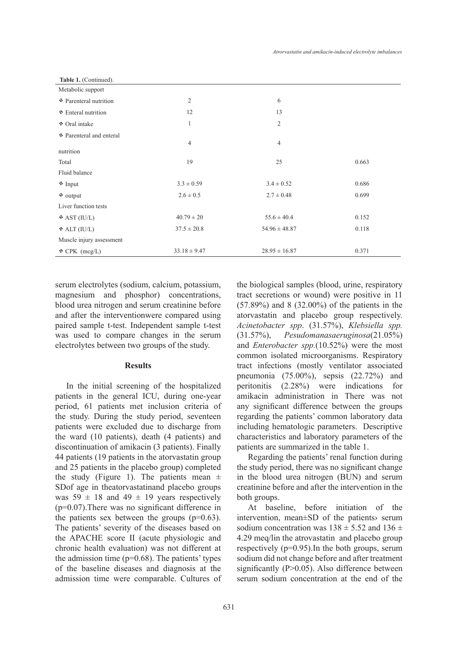| Table 1. (Continued).    |                  |                   |       |
|--------------------------|------------------|-------------------|-------|
| Metabolic support        |                  |                   |       |
| • Parenteral nutrition   | 2                | 6                 |       |
| Enteral nutrition        | 13<br>12         |                   |       |
| ◆ Oral intake            | 1                | $\mathfrak{2}$    |       |
| Parenteral and enteral   |                  |                   |       |
|                          | $\overline{4}$   | $\overline{4}$    |       |
| nutrition                |                  |                   |       |
| Total                    | 19               | 25                | 0.663 |
| Fluid balance            |                  |                   |       |
| * Input                  | $3.3 \pm 0.59$   | $3.4 \pm 0.52$    | 0.686 |
| $\cdot$ output           | $2.6 \pm 0.5$    | $2.7 \pm 0.48$    | 0.699 |
| Liver function tests     |                  |                   |       |
| $\triangle$ AST (IU/L)   | $40.79 \pm 20$   | $55.6 \pm 40.4$   | 0.152 |
| $\triangle$ ALT (IU/L)   | $37.5 \pm 20.8$  | $54.96 \pm 48.87$ | 0.118 |
| Muscle injury assessment |                  |                   |       |
| $\triangle$ CPK (mcg/L)  | $33.18 \pm 9.47$ | $28.95 \pm 16.87$ | 0.371 |

serum electrolytes (sodium, calcium, potassium, magnesium and phosphor) concentrations, blood urea nitrogen and serum creatinine before and after the interventionwere compared using paired sample t-test. Independent sample t-test was used to compare changes in the serum electrolytes between two groups of the study.

## **Results**

In the initial screening of the hospitalized patients in the general ICU, during one-year period, 61 patients met inclusion criteria of the study. During the study period, seventeen patients were excluded due to discharge from the ward (10 patients), death (4 patients) and discontinuation of amikacin (3 patients). Finally 44 patients (19 patients in the atorvastatin group and 25 patients in the placebo group) completed the study (Figure 1). The patients mean  $\pm$ SDof age in theatorvastatinand placebo groups was  $59 \pm 18$  and  $49 \pm 19$  years respectively (p=0.07).There was no significant difference in the patients sex between the groups  $(p=0.63)$ . The patients' severity of the diseases based on the APACHE score II (acute physiologic and chronic health evaluation) was not different at the admission time  $(p=0.68)$ . The patients' types of the baseline diseases and diagnosis at the admission time were comparable. Cultures of

631

the biological samples (blood, urine, respiratory tract secretions or wound) were positive in 11 (57.89%) and 8 (32.00%) of the patients in the atorvastatin and placebo group respectively. *Acinetobacter spp*. (31.57%), *Klebsiella spp.*  (31.57%), *Pesudomanasaeruginosa*(21.05%) and *Enterobacter spp.*(10.52%) were the most common isolated microorganisms. Respiratory tract infections (mostly ventilator associated pneumonia (75.00%), sepsis (22.72%) and peritonitis (2.28%) were indications for amikacin administration in There was not any significant difference between the groups regarding the patients' common laboratory data including hematologic parameters. Descriptive characteristics and laboratory parameters of the patients are summarized in the table 1.

Regarding the patients' renal function during the study period, there was no significant change in the blood urea nitrogen (BUN) and serum creatinine before and after the intervention in the both groups.

At baseline, before initiation of the intervention, mean±SD of the patients› serum sodium concentration was  $138 \pm 5.52$  and  $136 \pm$ 4.29 meq/lin the atrovastatin and placebo group respectively (p=0.95).In the both groups, serum sodium did not change before and after treatment significantly (P>0.05). Also difference between serum sodium concentration at the end of the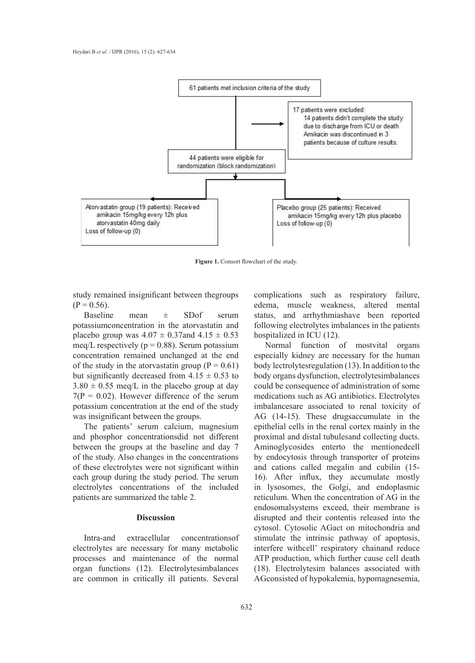

**Figure 1.** Consort flowchart of the study. **Figure 1.** Consort flowchart of the study.

study remained insignificant between thegroups  $(P = 0.56)$ .

Baseline mean ± SDof serum potassiumconcentration in the atorvastatin and placebo group was  $4.07 \pm 0.37$  and  $4.15 \pm 0.53$  hospitalized in ICU (12).<br>mea/L respectively (p = 0.88). Serum potassium and Normal function of mostvital organs meq/L respectively ( $p = 0.88$ ). Serum potassium concentration remained unchanged at the end of the study in the atorvastatin group ( $P = 0.61$ ) but significantly decreased from  $4.15 \pm 0.53$  to body rection of distribution (1.5). In addition to the patients of the patients of the patients of the patients of the patients of the patients of the table 1.15  $\pm$  0.53  $3.80 \pm 0.55$  meq/L in the placebo group at day  $7(P = 0.02)$ . However difference of the serum potassium concentration at the end of the study was insignificant between the groups.

The patients' serum calcium, magnesium and phosphor concentrationsdid not different between the groups at the baseline and day 7 of the study. Also changes in the concentrations of these electrolytes were not significant within or these electrolytes were not significant within<br>each group during the study period. The serum electrolytes concentrations of the included patients are summarized the table 2.

### **Discussion**

Intra-and extracellular concentrationsof electrolytes are necessary for many metabolic processes and maintenance of the normal organ functions (12). Electrolytesimbalances are common in critically ill patients. Several

complications such as respiratory failure,  $= 0.56$ ).  $\epsilon$  edema, muscle weakness, altered mental edema. status, and arrhythmiashave been reported following electrolytes imbalances in the patients hospitalized in ICU (12).

Normal function of mostvital organs especially kidney are necessary for the human body lectrolytesregulation (13). In addition to the body organs dysfunction, electrolytesimbalances could be consequence of administration of some medications such as AG antibiotics. Electrolytes tassium concentration at the end of the study imbalancesare associated to renal toxicity of AG (14-15). These drugsaccumulate in the epithelial cells in the renal cortex mainly in the d phosphor concentrations did not different proximal and distal tubules and collecting ducts.<br>tween the groups at the baseline and day  $7$  . A principly cosides enterty the mentioned cell Aminoglycosides enterto the mentionedcell by endocytosis through transporter of proteins and cations called megalin and cubilin (15- 16). After influx, they accumulate mostly in lysosomes, the Golgi, and endoplasmic reticulum. When the concentration of AG in the endosomalsystems exceed, their membrane is<br>
At baseline, before in the patients' served, their membrane is disrupted and their contentis released into the cytosol. Cytosolic AGact on mitochondria and Intra-and extracellular concentrations of stimulate the intrinsic pathway of apoptosis, interfere withcell' respiratory chainand reduce ATP production, which further cause cell death (18). Electrolytesim balances associated with gan functions (12). Electrolytesimbalances (18). Electrolytesim balances associated with<br>e common in critically ill patients. Several AGconsisted of hypokalemia, hypomagnesemia,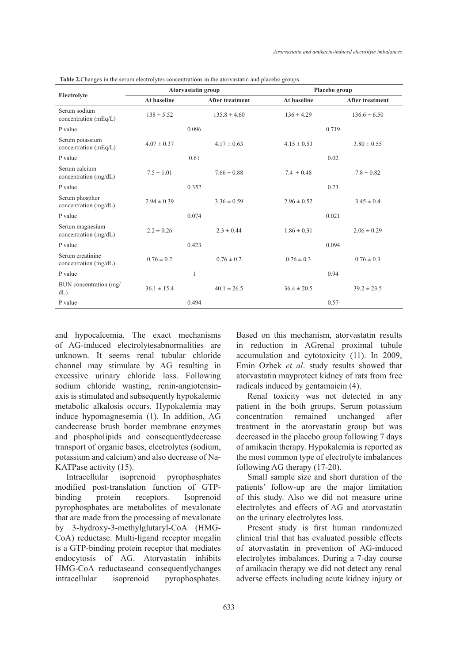| Electrolyte                               | <b>Atorvastatin group</b> |                  |                 | Placebo group    |  |
|-------------------------------------------|---------------------------|------------------|-----------------|------------------|--|
|                                           | At baseline               | After treatment  | At baseline     | After treatment  |  |
| Serum sodium<br>concentration (mEq/L)     | $138 \pm 5.52$            | $135.8 \pm 4.60$ | $136 \pm 4.29$  | $136.6 \pm 6.50$ |  |
| P value                                   | 0.096                     |                  | 0.719           |                  |  |
| Serum potassium<br>concentration (mEq/L)  | $4.07 \pm 0.37$           | $4.17 \pm 0.63$  | $4.15 \pm 0.53$ | $3.80 \pm 0.55$  |  |
| P value                                   |                           | 0.61             | 0.02            |                  |  |
| Serum calcium<br>concentration (mg/dL)    | $7.5 \pm 1.01$            | $7.66 \pm 0.88$  | $7.4 \pm 0.48$  | $7.8 \pm 0.82$   |  |
| P value                                   |                           | 0.352            | 0.23            |                  |  |
| Serum phosphor<br>concentration (mg/dL)   | $2.94 \pm 0.39$           | $3.36 \pm 0.59$  | $2.96 \pm 0.52$ | $3.45 \pm 0.4$   |  |
| P value                                   |                           | 0.074            | 0.021           |                  |  |
| Serum magnesium<br>concentration (mg/dL)  | $2.2 \pm 0.26$            | $2.3 \pm 0.44$   | $1.86 \pm 0.31$ | $2.06 \pm 0.29$  |  |
| P value                                   |                           | 0.423            | 0.094           |                  |  |
| Serum creatinine<br>concentration (mg/dL) | $0.76 \pm 0.2$            | $0.76 \pm 0.2$   | $0.76 \pm 0.3$  | $0.76 \pm 0.3$   |  |
| P value                                   |                           | 1                | 0.94            |                  |  |
| BUN concentration (mg/<br>$dL$ )          | $36.1 \pm 15.4$           | $40.1 \pm 26.5$  | $36.4 \pm 20.5$ | $39.2 \pm 23.5$  |  |
| P value                                   |                           | 0.494            | 0.57            |                  |  |

**Table 2.**Changes in the serum electrolytes concentrations in the atorvastatin and placebo groups.

and hypocalcemia. The exact mechanisms of AG-induced electrolytesabnormalities are unknown. It seems renal tubular chloride channel may stimulate by AG resulting in excessive urinary chloride loss. Following sodium chloride wasting, renin-angiotensinaxis is stimulated and subsequently hypokalemic metabolic alkalosis occurs. Hypokalemia may induce hypomagnesemia (1). In addition, AG candecrease brush border membrane enzymes and phospholipids and consequentlydecrease transport of organic bases, electrolytes (sodium, potassium and calcium) and also decrease of Na-KATPase activity (15).

Intracellular isoprenoid pyrophosphates modified post-translation function of GTPbinding protein receptors. Isoprenoid pyrophosphates are metabolites of mevalonate that are made from the processing of mevalonate by 3-hydroxy-3-methylglutaryl-CoA (HMG-CoA) reductase. Multi-ligand receptor megalin is a GTP-binding protein receptor that mediates endocytosis of AG. Atorvastatin inhibits HMG-CoA reductaseand consequentlychanges intracellular isoprenoid pyrophosphates. Based on this mechanism, atorvastatin results in reduction in AGrenal proximal tubule accumulation and cytotoxicity (11). In 2009, Emin Ozbek *et al*. study results showed that atorvastatin mayprotect kidney of rats from free radicals induced by gentamaicin (4).

Renal toxicity was not detected in any patient in the both groups. Serum potassium concentration remained unchanged after treatment in the atorvastatin group but was decreased in the placebo group following 7 days of amikacin therapy. Hypokalemia is reported as the most common type of electrolyte imbalances following AG therapy (17-20).

Small sample size and short duration of the patients' follow-up are the major limitation of this study. Also we did not measure urine electrolytes and effects of AG and atorvastatin on the urinary electrolytes loss.

Present study is first human randomized clinical trial that has evaluated possible effects of atorvastatin in prevention of AG-induced electrolytes imbalances. During a 7-day course of amikacin therapy we did not detect any renal adverse effects including acute kidney injury or